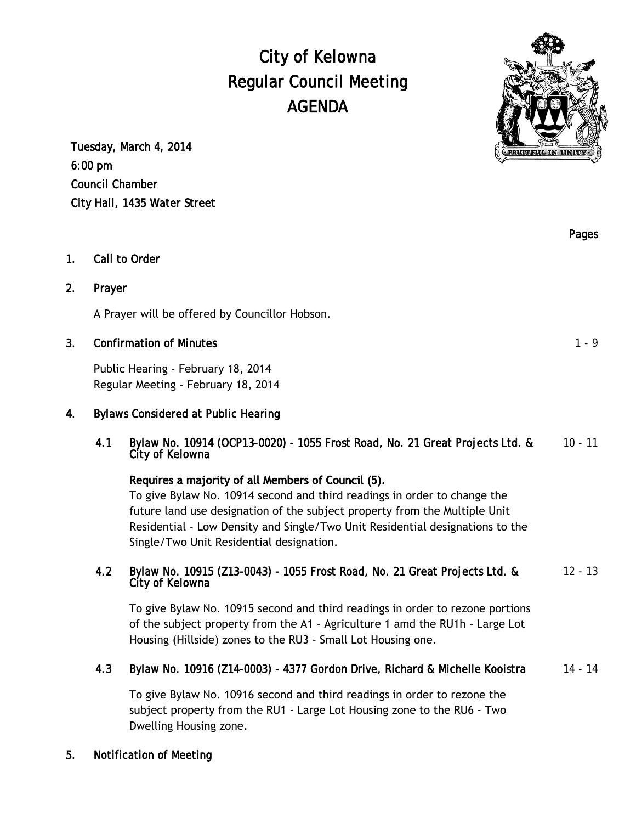City of Kelowna Regular Council Meeting AGENDA

Tuesday, March 4, 2014 6:00 pm Council Chamber City Hall, 1435 Water Street

- 1. Call to Order
- 2. Prayer

A Prayer will be offered by Councillor Hobson.

### 3. Confirmation of Minutes **1.9** and 1.9 and 1.9 and 1.9 and 1.9 and 1.9 and 1.9 and 1.9 and 1.9 and 1.9 and 1.9 and 1.9 and 1.9 and 1.9 and 1.9 and 1.9 and 1.9 and 1.9 and 1.9 and 1.9 and 1.9 and 1.9 and 1.9 and 1.9 and 1

Public Hearing - February 18, 2014 Regular Meeting - February 18, 2014

#### 4. Bylaws Considered at Public Hearing

4.1 Bylaw No. 10914 (OCP13-0020) - 1055 Frost Road, No. 21 Great Projects Ltd. & City of Kelowna 10 - 11

### Requires a majority of all Members of Council (5).

To give Bylaw No. 10914 second and third readings in order to change the future land use designation of the subject property from the Multiple Unit Residential - Low Density and Single/Two Unit Residential designations to the Single/Two Unit Residential designation.

#### 4.2 Bylaw No. 10915 (Z13-0043) - 1055 Frost Road, No. 21 Great Projects Ltd. & City of Kelowna

To give Bylaw No. 10915 second and third readings in order to rezone portions of the subject property from the A1 - Agriculture 1 amd the RU1h - Large Lot Housing (Hillside) zones to the RU3 - Small Lot Housing one.

#### 4.3 Bylaw No. 10916 (Z14-0003) - 4377 Gordon Drive, Richard & Michelle Kooistra 14 - 14

To give Bylaw No. 10916 second and third readings in order to rezone the subject property from the RU1 - Large Lot Housing zone to the RU6 - Two Dwelling Housing zone.

#### 5. Notification of Meeting

Pages



12 - 13